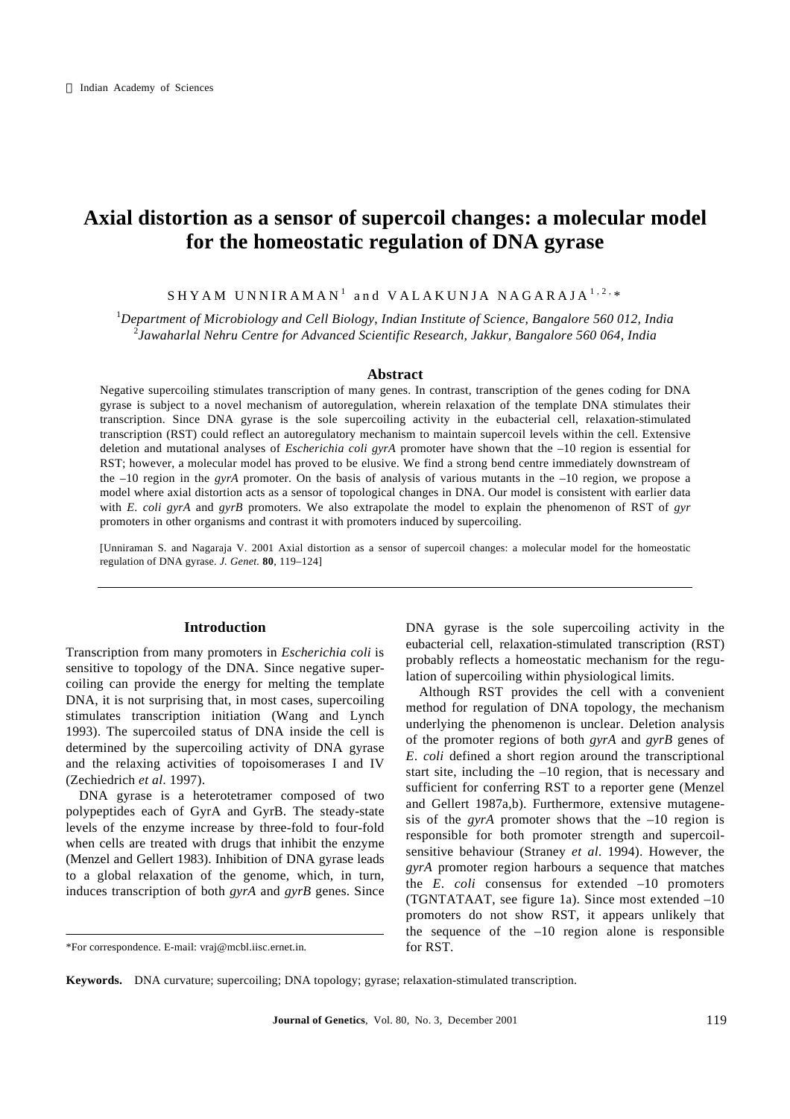# **Axial distortion as a sensor of supercoil changes: a molecular model for the homeostatic regulation of DNA gyrase**

 $\mathtt{SHYAM}$  UNNIRAMAN $^1$  and <code>VALAKUNJA</code> <code>NAGARAJA</code>  $^{1,2,*}$ 

<sup>1</sup>*Department of Microbiology and Cell Biology, Indian Institute of Science, Bangalore 560 012, India* 2 *Jawaharlal Nehru Centre for Advanced Scientific Research, Jakkur, Bangalore 560 064, India*

#### **Abstract**

Negative supercoiling stimulates transcription of many genes. In contrast, transcription of the genes coding for DNA gyrase is subject to a novel mechanism of autoregulation, wherein relaxation of the template DNA stimulates their transcription. Since DNA gyrase is the sole supercoiling activity in the eubacterial cell, relaxation-stimulated transcription (RST) could reflect an autoregulatory mechanism to maintain supercoil levels within the cell. Extensive deletion and mutational analyses of *Escherichia coli gyrA* promoter have shown that the –10 region is essential for RST; however, a molecular model has proved to be elusive. We find a strong bend centre immediately downstream of the –10 region in the *gyrA* promoter. On the basis of analysis of various mutants in the –10 region, we propose a model where axial distortion acts as a sensor of topological changes in DNA. Our model is consistent with earlier data with *E*. *coli gyrA* and *gyrB* promoters. We also extrapolate the model to explain the phenomenon of RST of *gyr* promoters in other organisms and contrast it with promoters induced by supercoiling.

[Unniraman S. and Nagaraja V. 2001 Axial distortion as a sensor of supercoil changes: a molecular model for the homeostatic regulation of DNA gyrase. *J. Genet.* **80**, 119–124]

## **Introduction**

Transcription from many promoters in *Escherichia coli* is sensitive to topology of the DNA. Since negative supercoiling can provide the energy for melting the template DNA, it is not surprising that, in most cases, supercoiling stimulates transcription initiation (Wang and Lynch 1993). The supercoiled status of DNA inside the cell is determined by the supercoiling activity of DNA gyrase and the relaxing activities of topoisomerases I and IV (Zechiedrich *et al*. 1997).

DNA gyrase is a heterotetramer composed of two polypeptides each of GyrA and GyrB. The steady-state levels of the enzyme increase by three-fold to four-fold when cells are treated with drugs that inhibit the enzyme (Menzel and Gellert 1983). Inhibition of DNA gyrase leads to a global relaxation of the genome, which, in turn, induces transcription of both *gyrA* and *gyrB* genes. Since DNA gyrase is the sole supercoiling activity in the eubacterial cell, relaxation-stimulated transcription (RST) probably reflects a homeostatic mechanism for the regulation of supercoiling within physiological limits.

Although RST provides the cell with a convenient method for regulation of DNA topology, the mechanism underlying the phenomenon is unclear. Deletion analysis of the promoter regions of both *gyrA* and *gyrB* genes of *E*. *coli* defined a short region around the transcriptional start site, including the –10 region, that is necessary and sufficient for conferring RST to a reporter gene (Menzel and Gellert 1987a,b). Furthermore, extensive mutagenesis of the *gyrA* promoter shows that the –10 region is responsible for both promoter strength and supercoilsensitive behaviour (Straney *et al*. 1994). However, the *gyrA* promoter region harbours a sequence that matches the *E*. *coli* consensus for extended –10 promoters (TGNTATAAT, see figure 1a). Since most extended –10 promoters do not show RST, it appears unlikely that the sequence of the  $-10$  region alone is responsible for RST.

<sup>\*</sup>For correspondence. E-mail: vraj@mcbl.iisc.ernet.in*.*

**Keywords.** DNA curvature; supercoiling; DNA topology; gyrase; relaxation-stimulated transcription.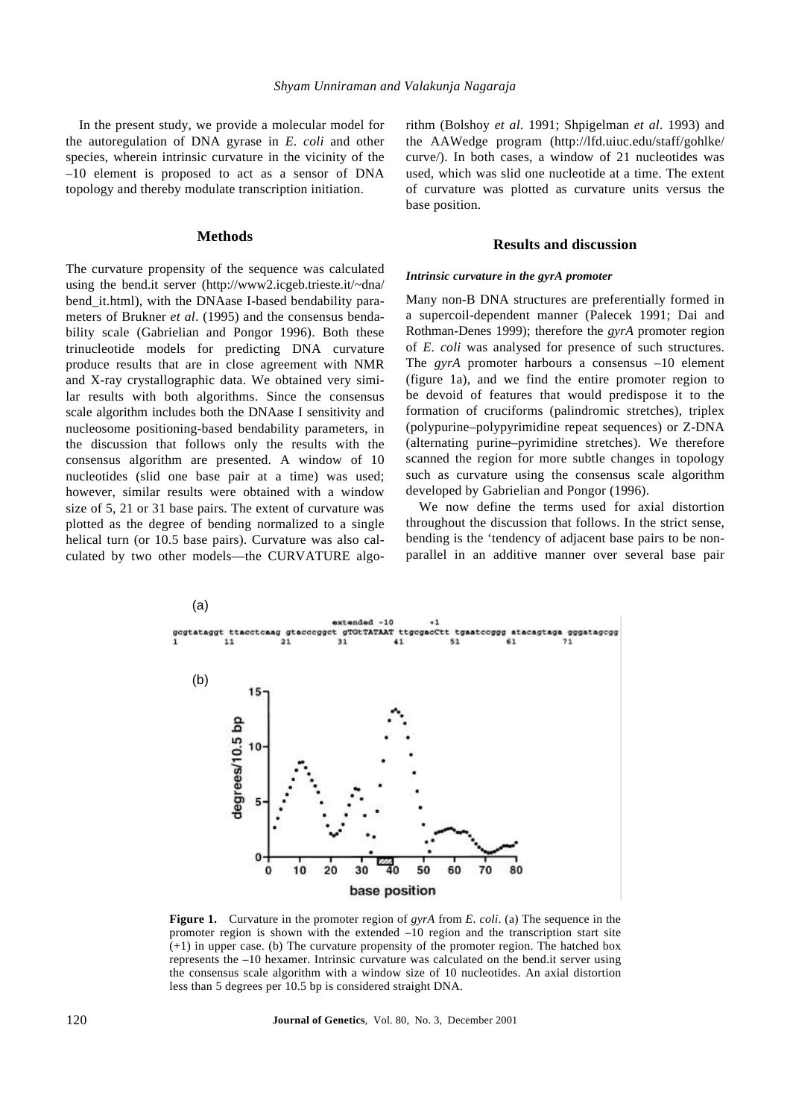In the present study, we provide a molecular model for the autoregulation of DNA gyrase in *E*. *coli* and other species, wherein intrinsic curvature in the vicinity of the –10 element is proposed to act as a sensor of DNA topology and thereby modulate transcription initiation.

## **Methods**

The curvature propensity of the sequence was calculated using the bend.it server (http://www2.icgeb.trieste.it/~dna/ bend\_it.html), with the DNAase I-based bendability parameters of Brukner *et al*. (1995) and the consensus bendability scale (Gabrielian and Pongor 1996). Both these trinucleotide models for predicting DNA curvature produce results that are in close agreement with NMR and X-ray crystallographic data. We obtained very similar results with both algorithms. Since the consensus scale algorithm includes both the DNAase I sensitivity and nucleosome positioning-based bendability parameters, in the discussion that follows only the results with the consensus algorithm are presented. A window of 10 nucleotides (slid one base pair at a time) was used; however, similar results were obtained with a window size of 5, 21 or 31 base pairs. The extent of curvature was plotted as the degree of bending normalized to a single helical turn (or 10.5 base pairs). Curvature was also calculated by two other models—the CURVATURE algorithm (Bolshoy *et al*. 1991; Shpigelman *et al*. 1993) and the AAWedge program (http://lfd.uiuc.edu/staff/gohlke/ curve/). In both cases, a window of 21 nucleotides was used, which was slid one nucleotide at a time. The extent of curvature was plotted as curvature units versus the base position.

#### **Results and discussion**

#### *Intrinsic curvature in the gyrA promoter*

Many non-B DNA structures are preferentially formed in a supercoil-dependent manner (Palecek 1991; Dai and Rothman-Denes 1999); therefore the *gyrA* promoter region of *E*. *coli* was analysed for presence of such structures. The *gyrA* promoter harbours a consensus –10 element (figure 1a), and we find the entire promoter region to be devoid of features that would predispose it to the formation of cruciforms (palindromic stretches), triplex (polypurine–polypyrimidine repeat sequences) or Z-DNA (alternating purine–pyrimidine stretches). We therefore scanned the region for more subtle changes in topology such as curvature using the consensus scale algorithm developed by Gabrielian and Pongor (1996).

We now define the terms used for axial distortion throughout the discussion that follows. In the strict sense, bending is the 'tendency of adjacent base pairs to be nonparallel in an additive manner over several base pair



**Figure 1.** Curvature in the promoter region of *gyrA* from *E*. *coli*. (a) The sequence in the promoter region is shown with the extended  $-10$  region and the transcription start site (+1) in upper case. (b) The curvature propensity of the promoter region. The hatched box represents the –10 hexamer. Intrinsic curvature was calculated on the bend.it server using the consensus scale algorithm with a window size of 10 nucleotides. An axial distortion less than 5 degrees per 10.5 bp is considered straight DNA.

120 **Journal of Genetics**, Vol. 80, No. 3, December 2001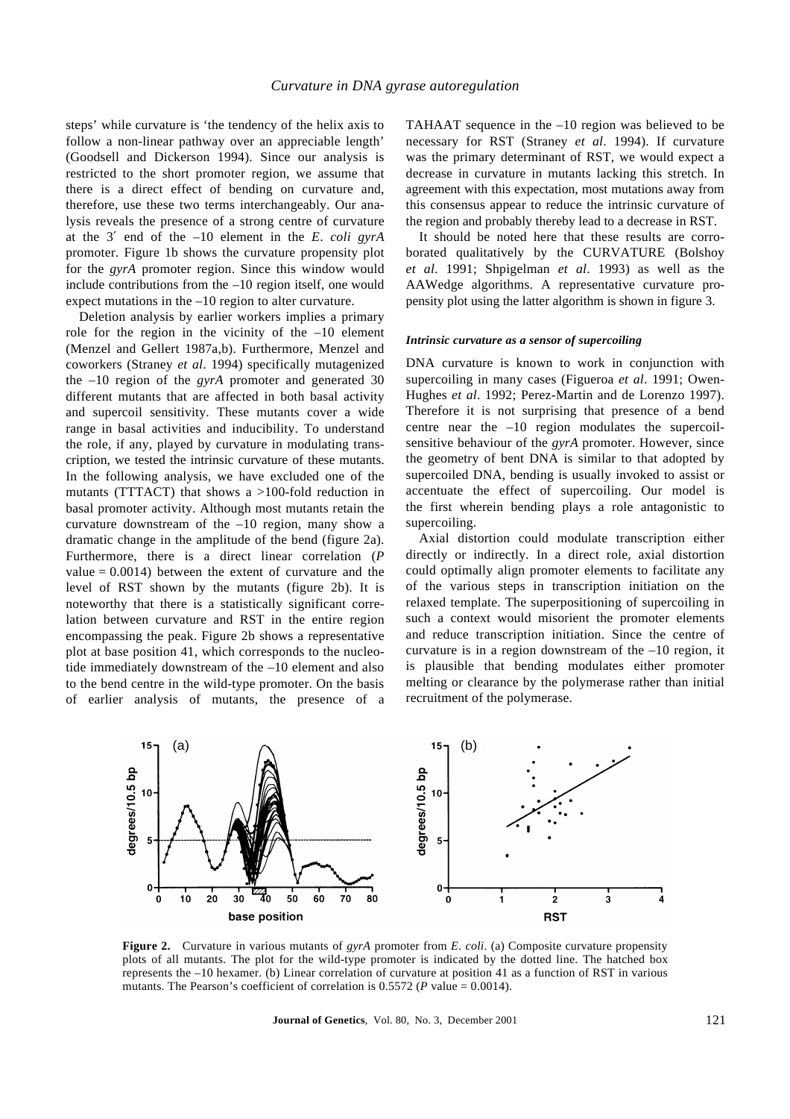steps' while curvature is 'the tendency of the helix axis to follow a non-linear pathway over an appreciable length' (Goodsell and Dickerson 1994). Since our analysis is restricted to the short promoter region, we assume that there is a direct effect of bending on curvature and, therefore, use these two terms interchangeably. Our analysis reveals the presence of a strong centre of curvature at the 3′ end of the –10 element in the *E*. *coli gyrA* promoter. Figure 1b shows the curvature propensity plot for the *gyrA* promoter region. Since this window would include contributions from the –10 region itself, one would expect mutations in the –10 region to alter curvature.

Deletion analysis by earlier workers implies a primary role for the region in the vicinity of the –10 element (Menzel and Gellert 1987a,b). Furthermore, Menzel and coworkers (Straney *et al*. 1994) specifically mutagenized the –10 region of the *gyrA* promoter and generated 30 different mutants that are affected in both basal activity and supercoil sensitivity. These mutants cover a wide range in basal activities and inducibility. To understand the role, if any, played by curvature in modulating transcription, we tested the intrinsic curvature of these mutants. In the following analysis, we have excluded one of the mutants (TTTACT) that shows a  $>100$ -fold reduction in basal promoter activity. Although most mutants retain the curvature downstream of the –10 region, many show a dramatic change in the amplitude of the bend (figure 2a). Furthermore, there is a direct linear correlation (*P* value  $= 0.0014$ ) between the extent of curvature and the level of RST shown by the mutants (figure 2b). It is noteworthy that there is a statistically significant correlation between curvature and RST in the entire region encompassing the peak. Figure 2b shows a representative plot at base position 41, which corresponds to the nucleotide immediately downstream of the –10 element and also to the bend centre in the wild-type promoter. On the basis of earlier analysis of mutants, the presence of a

TAHAAT sequence in the –10 region was believed to be necessary for RST (Straney *et al*. 1994). If curvature was the primary determinant of RST, we would expect a decrease in curvature in mutants lacking this stretch. In agreement with this expectation, most mutations away from this consensus appear to reduce the intrinsic curvature of the region and probably thereby lead to a decrease in RST.

It should be noted here that these results are corroborated qualitatively by the CURVATURE (Bolshoy *et al*. 1991; Shpigelman *et al*. 1993) as well as the AAWedge algorithms. A representative curvature propensity plot using the latter algorithm is shown in figure 3.

#### *Intrinsic curvature as a sensor of supercoiling*

DNA curvature is known to work in conjunction with supercoiling in many cases (Figueroa *et al*. 1991; Owen-Hughes *et al*. 1992; Perez-Martin and de Lorenzo 1997). Therefore it is not surprising that presence of a bend centre near the –10 region modulates the supercoilsensitive behaviour of the *gyrA* promoter. However, since the geometry of bent DNA is similar to that adopted by supercoiled DNA, bending is usually invoked to assist or accentuate the effect of supercoiling. Our model is the first wherein bending plays a role antagonistic to supercoiling.

Axial distortion could modulate transcription either directly or indirectly. In a direct role, axial distortion could optimally align promoter elements to facilitate any of the various steps in transcription initiation on the relaxed template. The superpositioning of supercoiling in such a context would misorient the promoter elements and reduce transcription initiation. Since the centre of curvature is in a region downstream of the –10 region, it is plausible that bending modulates either promoter melting or clearance by the polymerase rather than initial recruitment of the polymerase.



**Figure 2.** Curvature in various mutants of *gyrA* promoter from *E*. *coli*. (a) Composite curvature propensity plots of all mutants. The plot for the wild-type promoter is indicated by the dotted line. The hatched box represents the –10 hexamer. (b) Linear correlation of curvature at position 41 as a function of RST in various mutants. The Pearson's coefficient of correlation is  $0.5572$  (*P* value = 0.0014).

**Journal of Genetics**, Vol. 80, No. 3, December 2001 121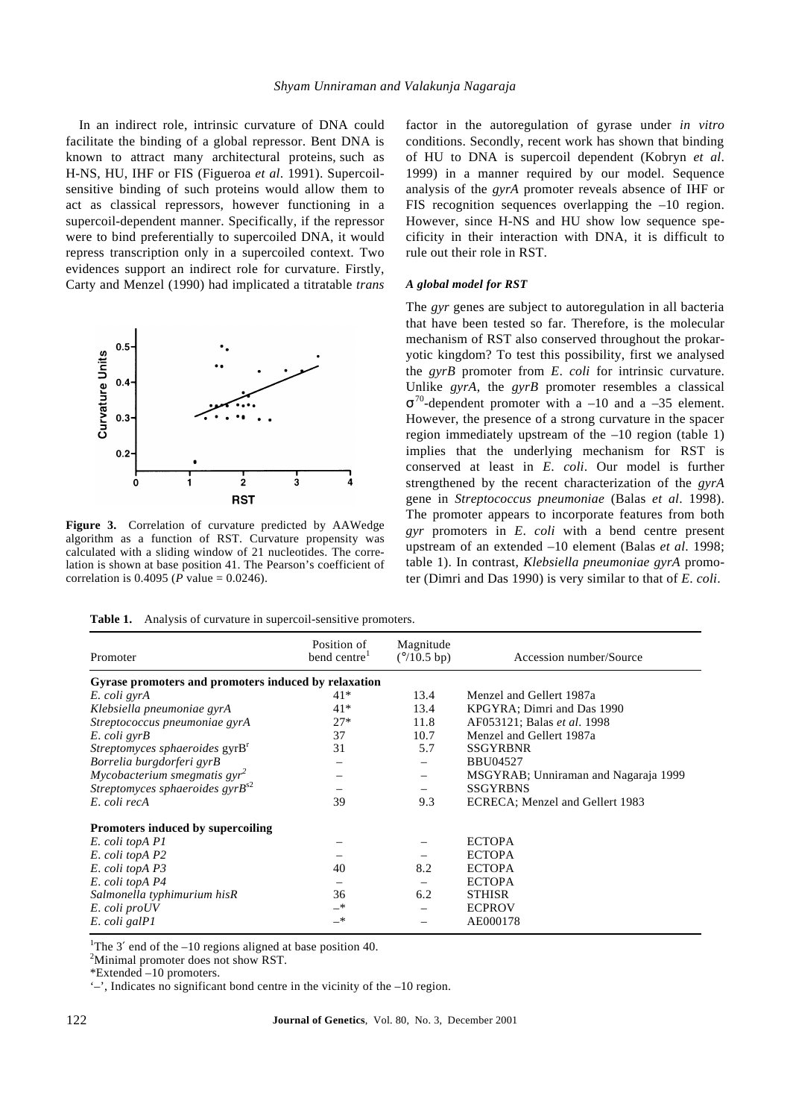In an indirect role, intrinsic curvature of DNA could facilitate the binding of a global repressor. Bent DNA is known to attract many architectural proteins, such as H-NS, HU, IHF or FIS (Figueroa *et al*. 1991). Supercoilsensitive binding of such proteins would allow them to act as classical repressors, however functioning in a supercoil-dependent manner. Specifically, if the repressor were to bind preferentially to supercoiled DNA, it would repress transcription only in a supercoiled context. Two evidences support an indirect role for curvature. Firstly, Carty and Menzel (1990) had implicated a titratable *trans*



**Figure 3.** Correlation of curvature predicted by AAWedge algorithm as a function of RST. Curvature propensity was calculated with a sliding window of 21 nucleotides. The correlation is shown at base position 41. The Pearson's coefficient of correlation is  $0.4095$  (*P* value =  $0.0246$ ).

factor in the autoregulation of gyrase under *in vitro* conditions. Secondly, recent work has shown that binding of HU to DNA is supercoil dependent (Kobryn *et al*. 1999) in a manner required by our model. Sequence analysis of the *gyrA* promoter reveals absence of IHF or FIS recognition sequences overlapping the –10 region. However, since H-NS and HU show low sequence specificity in their interaction with DNA, it is difficult to rule out their role in RST.

#### *A global model for RST*

The *gyr* genes are subject to autoregulation in all bacteria that have been tested so far. Therefore, is the molecular mechanism of RST also conserved throughout the prokaryotic kingdom? To test this possibility, first we analysed the *gyrB* promoter from *E*. *coli* for intrinsic curvature. Unlike *gyrA*, the *gyrB* promoter resembles a classical  $s^{70}$ -dependent promoter with a –10 and a –35 element. However, the presence of a strong curvature in the spacer region immediately upstream of the –10 region (table 1) implies that the underlying mechanism for RST is conserved at least in *E*. *coli*. Our model is further strengthened by the recent characterization of the *gyrA* gene in *Streptococcus pneumoniae* (Balas *et al*. 1998). The promoter appears to incorporate features from both *gyr* promoters in *E*. *coli* with a bend centre present upstream of an extended –10 element (Balas *et al*. 1998; table 1). In contrast, *Klebsiella pneumoniae gyrA* promoter (Dimri and Das 1990) is very similar to that of *E*. *coli*.

**Table 1.** Analysis of curvature in supercoil-sensitive promoters.

| Promoter                                             | Position of<br>bend centre <sup>1</sup> | Magnitude<br>$(^{\circ}/10.5$ bp) | Accession number/Source              |
|------------------------------------------------------|-----------------------------------------|-----------------------------------|--------------------------------------|
| Gyrase promoters and promoters induced by relaxation |                                         |                                   |                                      |
| E. coli gyrA                                         | 41*                                     | 13.4                              | Menzel and Gellert 1987a             |
| Klebsiella pneumoniae gyrA                           | $41*$                                   | 13.4                              | KPGYRA; Dimri and Das 1990           |
| Streptococcus pneumoniae gyrA                        | $27*$                                   | 11.8                              | AF053121; Balas et al. 1998          |
| E. coli gyrB                                         | 37                                      | 10.7                              | Menzel and Gellert 1987a             |
| Streptomyces sphaeroides gyrB <sup>r</sup>           | 31                                      | 5.7                               | <b>SSGYRBNR</b>                      |
| Borrelia burgdorferi gyrB                            |                                         |                                   | <b>BBU04527</b>                      |
| Mycobacterium smegmatis $gyr^2$                      |                                         | $\qquad \qquad \longleftarrow$    | MSGYRAB; Unniraman and Nagaraja 1999 |
| Streptomyces sphaeroides $gyrB^{s2}$                 |                                         |                                   | <b>SSGYRBNS</b>                      |
| E. coli recA                                         | 39                                      | 9.3                               | ECRECA; Menzel and Gellert 1983      |
| <b>Promoters induced by supercoiling</b>             |                                         |                                   |                                      |
| E. coli topA P1                                      |                                         |                                   | <b>ECTOPA</b>                        |
| E. coli topA P2                                      |                                         |                                   | <b>ECTOPA</b>                        |
| E. coli topA P3                                      | 40                                      | 8.2                               | <b>ECTOPA</b>                        |
| E. coli topA P4                                      | -                                       | $\qquad \qquad$                   | <b>ECTOPA</b>                        |
| Salmonella typhimurium hisR                          | 36                                      | 6.2                               | <b>STHISR</b>                        |
| E. coli proUV                                        | $-*$                                    |                                   | <b>ECPROV</b>                        |
| E. coli galP1                                        | —*                                      |                                   | AE000178                             |

<sup>1</sup>The 3' end of the  $-10$  regions aligned at base position 40.

<sup>2</sup>Minimal promoter does not show RST.

'–', Indicates no significant bond centre in the vicinity of the –10 region.

<sup>\*</sup>Extended –10 promoters.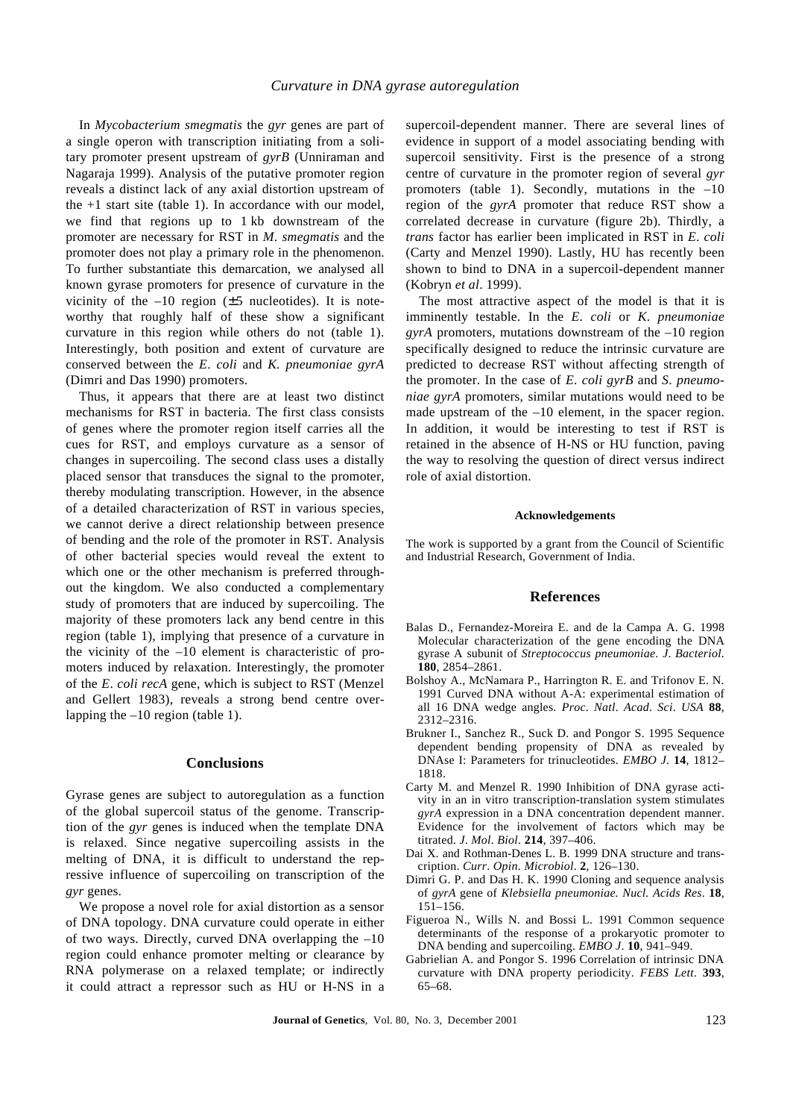In *Mycobacterium smegmatis* the *gyr* genes are part of a single operon with transcription initiating from a solitary promoter present upstream of *gyrB* (Unniraman and Nagaraja 1999). Analysis of the putative promoter region reveals a distinct lack of any axial distortion upstream of the  $+1$  start site (table 1). In accordance with our model, we find that regions up to 1 kb downstream of the promoter are necessary for RST in *M*. *smegmatis* and the promoter does not play a primary role in the phenomenon. To further substantiate this demarcation, we analysed all known gyrase promoters for presence of curvature in the vicinity of the  $-10$  region ( $\pm 5$  nucleotides). It is noteworthy that roughly half of these show a significant curvature in this region while others do not (table 1). Interestingly, both position and extent of curvature are conserved between the *E*. *coli* and *K. pneumoniae gyrA* (Dimri and Das 1990) promoters.

Thus, it appears that there are at least two distinct mechanisms for RST in bacteria. The first class consists of genes where the promoter region itself carries all the cues for RST, and employs curvature as a sensor of changes in supercoiling. The second class uses a distally placed sensor that transduces the signal to the promoter, thereby modulating transcription. However, in the absence of a detailed characterization of RST in various species, we cannot derive a direct relationship between presence of bending and the role of the promoter in RST. Analysis of other bacterial species would reveal the extent to which one or the other mechanism is preferred throughout the kingdom. We also conducted a complementary study of promoters that are induced by supercoiling. The majority of these promoters lack any bend centre in this region (table 1), implying that presence of a curvature in the vicinity of the –10 element is characteristic of promoters induced by relaxation. Interestingly, the promoter of the *E*. *coli recA* gene, which is subject to RST (Menzel and Gellert 1983), reveals a strong bend centre overlapping the –10 region (table 1).

# **Conclusions**

Gyrase genes are subject to autoregulation as a function of the global supercoil status of the genome. Transcription of the *gyr* genes is induced when the template DNA is relaxed. Since negative supercoiling assists in the melting of DNA, it is difficult to understand the repressive influence of supercoiling on transcription of the *gyr* genes.

We propose a novel role for axial distortion as a sensor of DNA topology. DNA curvature could operate in either of two ways. Directly, curved DNA overlapping the –10 region could enhance promoter melting or clearance by RNA polymerase on a relaxed template; or indirectly it could attract a repressor such as HU or H-NS in a supercoil-dependent manner. There are several lines of evidence in support of a model associating bending with supercoil sensitivity. First is the presence of a strong centre of curvature in the promoter region of several *gyr* promoters (table 1). Secondly, mutations in the  $-10$ region of the *gyrA* promoter that reduce RST show a correlated decrease in curvature (figure 2b). Thirdly, a *trans* factor has earlier been implicated in RST in *E*. *coli* (Carty and Menzel 1990). Lastly, HU has recently been shown to bind to DNA in a supercoil-dependent manner (Kobryn *et al*. 1999).

The most attractive aspect of the model is that it is imminently testable. In the *E*. *coli* or *K*. *pneumoniae gyrA* promoters, mutations downstream of the –10 region specifically designed to reduce the intrinsic curvature are predicted to decrease RST without affecting strength of the promoter. In the case of *E*. *coli gyrB* and *S*. *pneumoniae gyrA* promoters, similar mutations would need to be made upstream of the –10 element, in the spacer region. In addition, it would be interesting to test if RST is retained in the absence of H-NS or HU function, paving the way to resolving the question of direct versus indirect role of axial distortion.

#### **Acknowledgements**

The work is supported by a grant from the Council of Scientific and Industrial Research, Government of India.

#### **References**

- Balas D., Fernandez-Moreira E. and de la Campa A. G. 1998 Molecular characterization of the gene encoding the DNA gyrase A subunit of *Streptococcus pneumoniae*. *J*. *Bacteriol*. **180**, 2854–2861.
- Bolshoy A., McNamara P., Harrington R. E. and Trifonov E. N. 1991 Curved DNA without A-A: experimental estimation of all 16 DNA wedge angles. *Proc*. *Natl*. *Acad*. *Sci*. *USA* **88**, 2312–2316.
- Brukner I., Sanchez R., Suck D. and Pongor S. 1995 Sequence dependent bending propensity of DNA as revealed by DNAse I: Parameters for trinucleotides. *EMBO J*. **14**, 1812– 1818.
- Carty M. and Menzel R. 1990 Inhibition of DNA gyrase activity in an in vitro transcription-translation system stimulates *gyrA* expression in a DNA concentration dependent manner. Evidence for the involvement of factors which may be titrated. *J*. *Mol*. *Biol*. **214**, 397–406.
- Dai X. and Rothman-Denes L. B. 1999 DNA structure and transcription. *Curr*. *Opin*. *Microbiol*. **2**, 126–130.
- Dimri G. P. and Das H. K. 1990 Cloning and sequence analysis of *gyrA* gene of *Klebsiella pneumoniae. Nucl. Acids Res*. **18**, 151–156.
- Figueroa N., Wills N. and Bossi L. 1991 Common sequence determinants of the response of a prokaryotic promoter to DNA bending and supercoiling. *EMBO J*. **10**, 941–949.
- Gabrielian A. and Pongor S. 1996 Correlation of intrinsic DNA curvature with DNA property periodicity. *FEBS Lett*. **393**, 65–68.